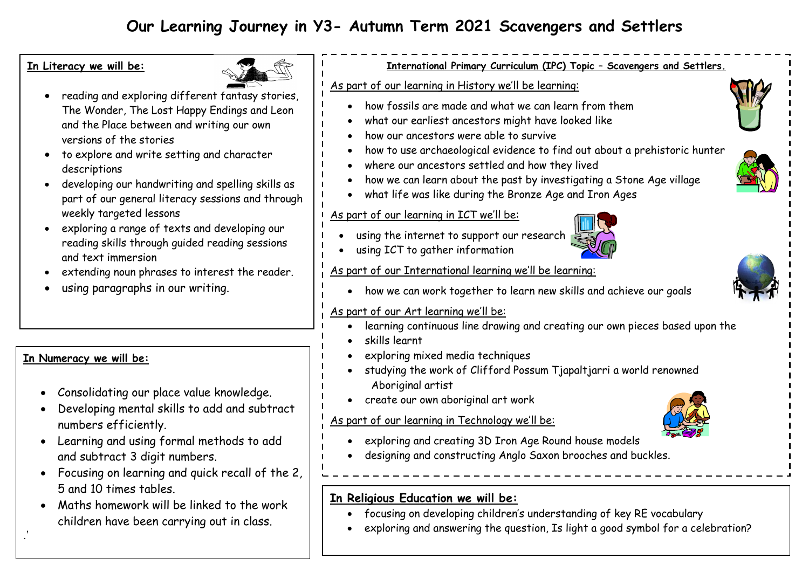# **Our Learning Journey in Y3- Autumn Term 2021 Scavengers and Settlers**

#### **In Literacy we will be:**



- reading and exploring different fantasy stories, The Wonder, The Lost Happy Endings and Leon and the Place between and writing our own versions of the stories
- to explore and write setting and character descriptions
- developing our handwriting and spelling skills as part of our general literacy sessions and through weekly targeted lessons
- exploring a range of texts and developing our reading skills through guided reading sessions and text immersion
- extending noun phrases to interest the reader.
- using paragraphs in our writing.

# **In Numeracy we will be:**

.'

- Consolidating our place value knowledge.
- Developing mental skills to add and subtract numbers efficiently.
- Learning and using formal methods to add and subtract 3 digit numbers.
- Focusing on learning and quick recall of the 2, 5 and 10 times tables.
- Maths homework will be linked to the work children have been carrying out in class.

# **International Primary Curriculum (IPC) Topic – Scavengers and Settlers.**

#### As part of our learning in History we'll be learning:

- how fossils are made and what we can learn from them
- what our earliest ancestors might have looked like
- how our ancestors were able to survive
- how to use archaeological evidence to find out about a prehistoric hunter
- where our ancestors settled and how they lived
- how we can learn about the past by investigating a Stone Age village
- what life was like during the Bronze Age and Iron Ages

## As part of our learning in ICT we'll be:

- using the internet to support our research
- using ICT to gather information

## As part of our International learning we'll be learning:

how we can work together to learn new skills and achieve our goals

#### As part of our Art learning we'll be:

- learning continuous line drawing and creating our own pieces based upon the
- skills learnt
- exploring mixed media techniques
- studying the work of Clifford Possum Tjapaltjarri a world renowned Aboriginal artist
- create our own aboriginal art work

#### As part of our learning in Technology we'll be:



- exploring and creating 3D Iron Age Round house models
- designing and constructing Anglo Saxon brooches and buckles.

## **In Religious Education we will be:**

- focusing on developing children's understanding of key RE vocabulary
- exploring and answering the question, Is light a good symbol for a celebration?